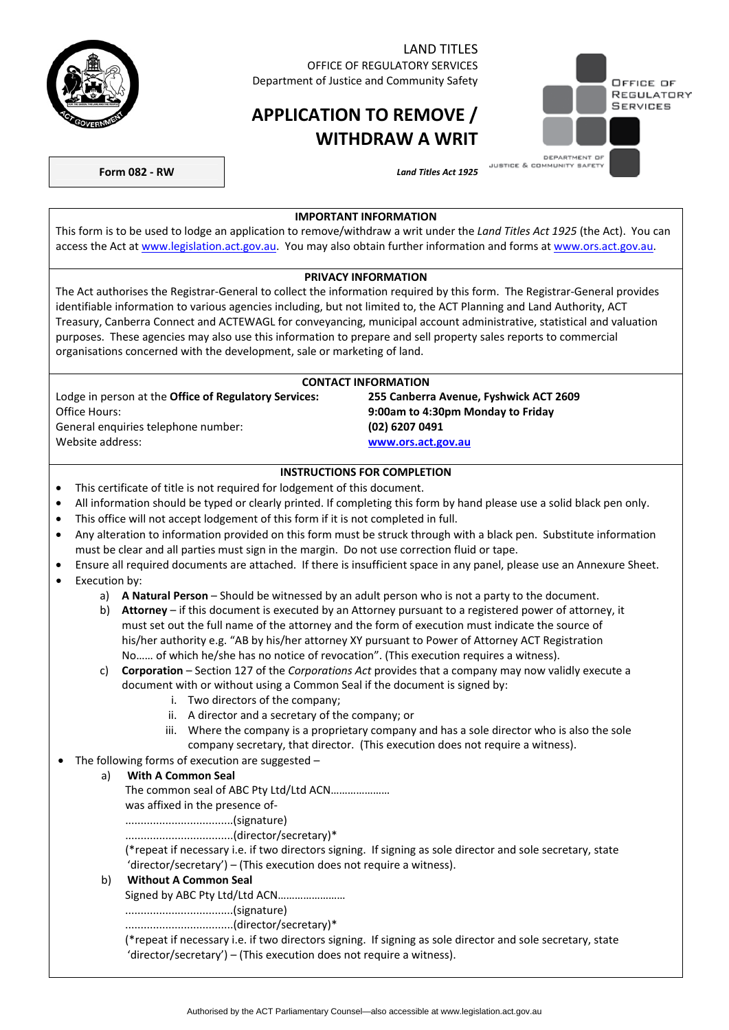

## LAND TITLES

OFFICE OF REGULATORY SERVICES Department of Justice and Community Safety

# **APPLICATION TO REMOVE / WITHDRAW A WRIT**



**Form 082 - RW** *Land Titles Act 1925* 

#### **IMPORTANT INFORMATION**

This form is to be used to lodge an application to remove/withdraw a writ under the *Land Titles Act 1925* (the Act). You can access the Act at [www.legislation.act.gov.au.](http://www.legislation.act.gov.au/) You may also obtain further information and forms at [www.ors.act.gov.au.](http://www.ors.act.gov.au/)

#### **PRIVACY INFORMATION**

The Act authorises the Registrar-General to collect the information required by this form. The Registrar-General provides identifiable information to various agencies including, but not limited to, the ACT Planning and Land Authority, ACT Treasury, Canberra Connect and ACTEWAGL for conveyancing, municipal account administrative, statistical and valuation purposes. These agencies may also use this information to prepare and sell property sales reports to commercial organisations concerned with the development, sale or marketing of land.

| <b>CONTACT INFORMATION</b>                                   |                                        |  |
|--------------------------------------------------------------|----------------------------------------|--|
| Lodge in person at the <b>Office of Regulatory Services:</b> | 255 Canberra Avenue, Fyshwick ACT 2609 |  |
| Office Hours:                                                | 9:00am to 4:30pm Monday to Friday      |  |
| General enguiries telephone number:                          | (02) 6207 0491                         |  |
| Website address:                                             | www.ors.act.gov.au                     |  |

### **INSTRUCTIONS FOR COMPLETION**

- This certificate of title is not required for lodgement of this document.
- All information should be typed or clearly printed. If completing this form by hand please use a solid black pen only.
- This office will not accept lodgement of this form if it is not completed in full.
- Any alteration to information provided on this form must be struck through with a black pen. Substitute information must be clear and all parties must sign in the margin. Do not use correction fluid or tape.
- Ensure all required documents are attached. If there is insufficient space in any panel, please use an Annexure Sheet.
- Execution by:
	- a) **A Natural Person** Should be witnessed by an adult person who is not a party to the document.
	- b) **Attorney** if this document is executed by an Attorney pursuant to a registered power of attorney, it must set out the full name of the attorney and the form of execution must indicate the source of his/her authority e.g. "AB by his/her attorney XY pursuant to Power of Attorney ACT Registration No…… of which he/she has no notice of revocation". (This execution requires a witness).
	- c) **Corporation** Section 127 of the *Corporations Act* provides that a company may now validly execute a document with or without using a Common Seal if the document is signed by:
		- i. Two directors of the company;
		- ii. A director and a secretary of the company; or
		- iii. Where the company is a proprietary company and has a sole director who is also the sole company secretary, that director. (This execution does not require a witness).
- The following forms of execution are suggested –

### a) **With A Common Seal**

The common seal of ABC Pty Ltd/Ltd ACN…………………

was affixed in the presence of-

...................................(signature)

...................................(director/secretary)\*

(\*repeat if necessary i.e. if two directors signing. If signing as sole director and sole secretary, state 'director/secretary') – (This execution does not require a witness).

b) **Without A Common Seal**  Signed by ABC Pty Ltd/Ltd ACN…………………… ...................................(signature)

...................................(director/secretary)\*

(\*repeat if necessary i.e. if two directors signing. If signing as sole director and sole secretary, state 'director/secretary') – (This execution does not require a witness).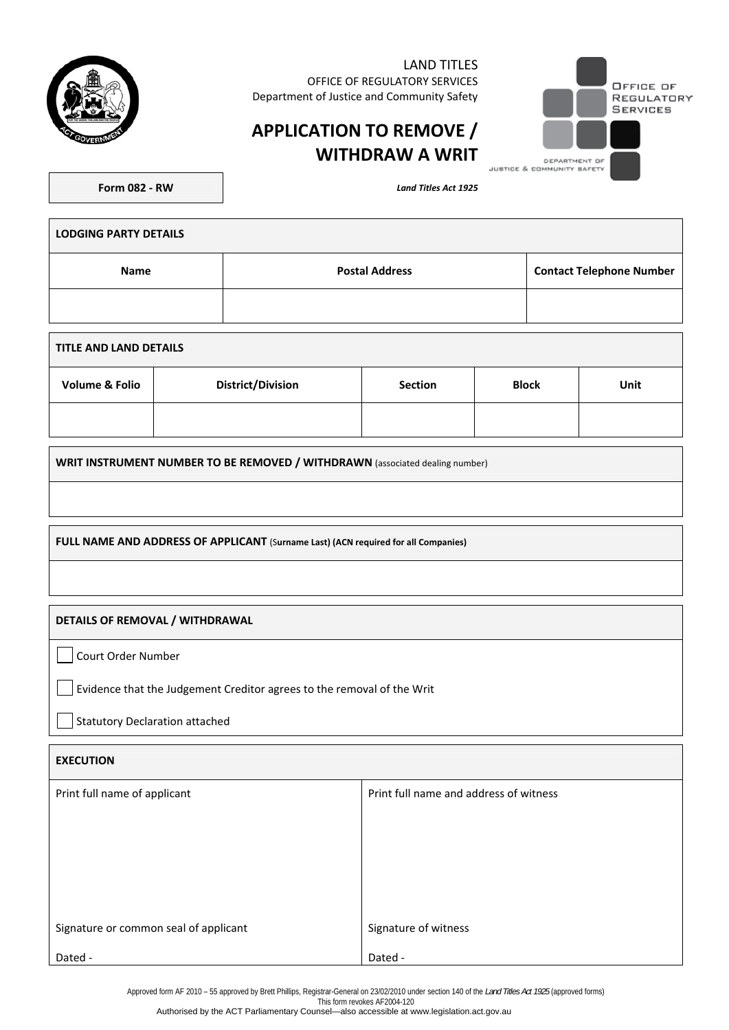

LAND TITLES OFFICE OF REGULATORY SERVICES Department of Justice and Community Safety



# **APPLICATION TO REMOVE / WITHDRAW A WRIT**

**Form 082 - RW** *Land Titles Act 1925* 

| <b>LODGING PARTY DETAILS</b> |                       |                                 |  |  |  |
|------------------------------|-----------------------|---------------------------------|--|--|--|
| <b>Name</b>                  | <b>Postal Address</b> | <b>Contact Telephone Number</b> |  |  |  |
|                              |                       |                                 |  |  |  |

| TITLE AND LAND DETAILS    |                          |                |              |      |  |
|---------------------------|--------------------------|----------------|--------------|------|--|
| <b>Volume &amp; Folio</b> | <b>District/Division</b> | <b>Section</b> | <b>Block</b> | Unit |  |
|                           |                          |                |              |      |  |

**WRIT INSTRUMENT NUMBER TO BE REMOVED / WITHDRAWN** (associated dealing number)

**FULL NAME AND ADDRESS OF APPLICANT** (S**urname Last) (ACN required for all Companies)**

#### **DETAILS OF REMOVAL / WITHDRAWAL**

Court Order Number

Evidence that the Judgement Creditor agrees to the removal of the Writ

Statutory Declaration attached

| <b>EXECUTION</b>                      |                                        |  |  |
|---------------------------------------|----------------------------------------|--|--|
| Print full name of applicant          | Print full name and address of witness |  |  |
|                                       |                                        |  |  |
|                                       |                                        |  |  |
|                                       |                                        |  |  |
|                                       |                                        |  |  |
| Signature or common seal of applicant | Signature of witness                   |  |  |
| Dated -                               | Dated -                                |  |  |